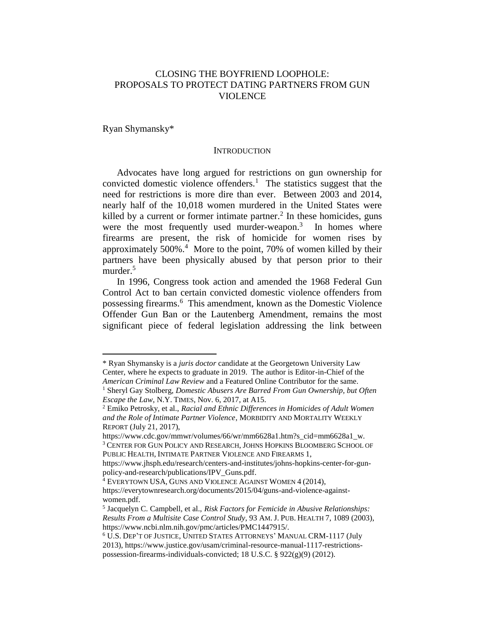# CLOSING THE BOYFRIEND LOOPHOLE: PROPOSALS TO PROTECT DATING PARTNERS FROM GUN VIOLENCE

Ryan Shymansky\*

 $\overline{a}$ 

## **INTRODUCTION**

Advocates have long argued for restrictions on gun ownership for convicted domestic violence offenders.<sup>1</sup> The statistics suggest that the need for restrictions is more dire than ever. Between 2003 and 2014, nearly half of the 10,018 women murdered in the United States were killed by a current or former intimate partner.<sup>2</sup> In these homicides, guns were the most frequently used murder-weapon.<sup>3</sup> In homes where firearms are present, the risk of homicide for women rises by approximately 500%.<sup>4</sup> More to the point, 70% of women killed by their partners have been physically abused by that person prior to their murder.<sup>5</sup>

In 1996, Congress took action and amended the 1968 Federal Gun Control Act to ban certain convicted domestic violence offenders from possessing firearms.<sup>6</sup> This amendment, known as the Domestic Violence Offender Gun Ban or the Lautenberg Amendment, remains the most significant piece of federal legislation addressing the link between

<sup>\*</sup> Ryan Shymansky is a *juris doctor* candidate at the Georgetown University Law Center, where he expects to graduate in 2019. The author is Editor-in-Chief of the *American Criminal Law Review* and a Featured Online Contributor for the same.

<sup>1</sup> Sheryl Gay Stolberg, *Domestic Abusers Are Barred From Gun Ownership, but Often Escape the Law*, N.Y. TIMES, Nov. 6, 2017, at A15.

<sup>2</sup> Emiko Petrosky, et al., *Racial and Ethnic Differences in Homicides of Adult Women and the Role of Intimate Partner Violence*, MORBIDITY AND MORTALITY WEEKLY REPORT (July 21, 2017),

https://www.cdc.gov/mmwr/volumes/66/wr/mm6628a1.htm?s\_cid=mm6628a1\_w. <sup>3</sup> CENTER FOR GUN POLICY AND RESEARCH, JOHNS HOPKINS BLOOMBERG SCHOOL OF PUBLIC HEALTH, INTIMATE PARTNER VIOLENCE AND FIREARMS 1,

https://www.jhsph.edu/research/centers-and-institutes/johns-hopkins-center-for-gunpolicy-and-research/publications/IPV\_Guns.pdf.

<sup>4</sup> EVERYTOWN USA, GUNS AND VIOLENCE AGAINST WOMEN 4 (2014), https://everytownresearch.org/documents/2015/04/guns-and-violence-against-

women.pdf.

<sup>5</sup> Jacquelyn C. Campbell, et al., *Risk Factors for Femicide in Abusive Relationships: Results From a Multisite Case Control Study,* 93 AM. J. PUB. HEALTH 7, 1089 (2003), https://www.ncbi.nlm.nih.gov/pmc/articles/PMC1447915/.

<sup>6</sup> U.S. DEP'T OF JUSTICE, UNITED STATES ATTORNEYS' MANUAL CRM-1117 (July 2013), https://www.justice.gov/usam/criminal-resource-manual-1117-restrictionspossession-firearms-individuals-convicted; 18 U.S.C. § 922(g)(9) (2012).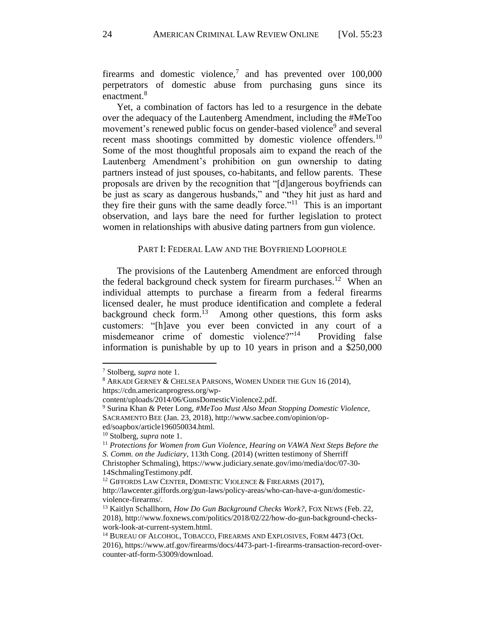firearms and domestic violence,<sup>7</sup> and has prevented over  $100,000$ perpetrators of domestic abuse from purchasing guns since its enactment.<sup>8</sup>

Yet, a combination of factors has led to a resurgence in the debate over the adequacy of the Lautenberg Amendment, including the #MeToo movement's renewed public focus on gender-based violence<sup>9</sup> and several recent mass shootings committed by domestic violence offenders.<sup>10</sup> Some of the most thoughtful proposals aim to expand the reach of the Lautenberg Amendment's prohibition on gun ownership to dating partners instead of just spouses, co-habitants, and fellow parents. These proposals are driven by the recognition that "[d]angerous boyfriends can be just as scary as dangerous husbands," and "they hit just as hard and they fire their guns with the same deadly force."<sup>11</sup> This is an important observation, and lays bare the need for further legislation to protect women in relationships with abusive dating partners from gun violence.

# PART I: FEDERAL LAW AND THE BOYFRIEND LOOPHOLE

The provisions of the Lautenberg Amendment are enforced through the federal background check system for firearm purchases.<sup>12</sup> When an individual attempts to purchase a firearm from a federal firearms licensed dealer, he must produce identification and complete a federal background check form.<sup>13</sup> Among other questions, this form asks customers: "[h]ave you ever been convicted in any court of a misdemeanor crime of domestic violence?"<sup>14</sup> Providing false information is punishable by up to 10 years in prison and a \$250,000

<sup>7</sup> Stolberg, *supra* note 1.

<sup>8</sup> ARKADI GERNEY & CHELSEA PARSONS, WOMEN UNDER THE GUN 16 (2014), https://cdn.americanprogress.org/wp-

content/uploads/2014/06/GunsDomesticViolence2.pdf.

<sup>9</sup> Surina Khan & Peter Long, *#MeToo Must Also Mean Stopping Domestic Violence,*  SACRAMENTO BEE (Jan. 23, 2018), http://www.sacbee.com/opinion/oped/soapbox/article196050034.html.

<sup>10</sup> Stolberg, *supra* note 1.

<sup>&</sup>lt;sup>11</sup> Protections for Women from Gun Violence, Hearing on VAWA Next Steps Before the

*S. Comm. on the Judiciary*, 113th Cong. (2014) (written testimony of Sherriff Christopher Schmaling), https://www.judiciary.senate.gov/imo/media/doc/07-30-

<sup>14</sup>SchmalingTestimony.pdf.

<sup>&</sup>lt;sup>12</sup> GIFFORDS LAW CENTER, DOMESTIC VIOLENCE & FIREARMS (2017),

http://lawcenter.giffords.org/gun-laws/policy-areas/who-can-have-a-gun/domesticviolence-firearms/.

<sup>13</sup> Kaitlyn Schallhorn, *How Do Gun Background Checks Work?*, FOX NEWS (Feb. 22, 2018), http://www.foxnews.com/politics/2018/02/22/how-do-gun-background-checkswork-look-at-current-system.html.

<sup>&</sup>lt;sup>14</sup> BUREAU OF ALCOHOL, TOBACCO, FIREARMS AND EXPLOSIVES, FORM 4473 (Oct.

<sup>2016),</sup> https://www.atf.gov/firearms/docs/4473-part-1-firearms-transaction-record-overcounter-atf-form-53009/download.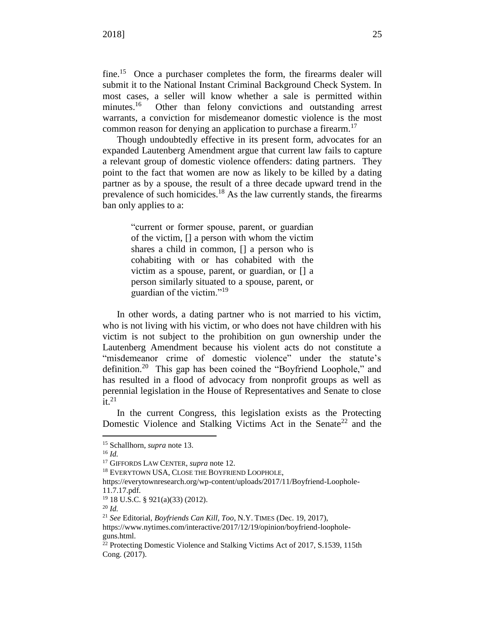fine.<sup>15</sup> Once a purchaser completes the form, the firearms dealer will submit it to the National Instant Criminal Background Check System. In most cases, a seller will know whether a sale is permitted within minutes. $16$  Other than felony convictions and outstanding arrest warrants, a conviction for misdemeanor domestic violence is the most common reason for denying an application to purchase a firearm.<sup>17</sup>

Though undoubtedly effective in its present form, advocates for an expanded Lautenberg Amendment argue that current law fails to capture a relevant group of domestic violence offenders: dating partners. They point to the fact that women are now as likely to be killed by a dating partner as by a spouse, the result of a three decade upward trend in the prevalence of such homicides.<sup>18</sup> As the law currently stands, the firearms ban only applies to a:

> "current or former spouse, parent, or guardian of the victim, [] a person with whom the victim shares a child in common, [] a person who is cohabiting with or has cohabited with the victim as a spouse, parent, or guardian, or [] a person similarly situated to a spouse, parent, or guardian of the victim."<sup>19</sup>

In other words, a dating partner who is not married to his victim, who is not living with his victim, or who does not have children with his victim is not subject to the prohibition on gun ownership under the Lautenberg Amendment because his violent acts do not constitute a "misdemeanor crime of domestic violence" under the statute's definition.<sup>20</sup> This gap has been coined the "Boyfriend Loophole," and has resulted in a flood of advocacy from nonprofit groups as well as perennial legislation in the House of Representatives and Senate to close  $\overline{\text{it}}$ .<sup>21</sup>

In the current Congress, this legislation exists as the Protecting Domestic Violence and Stalking Victims Act in the Senate<sup>22</sup> and the

 $\overline{a}$ 

<sup>20</sup> *Id.*

<sup>15</sup> Schallhorn, *supra* note 13.

<sup>16</sup> *Id.*

<sup>17</sup> GIFFORDS LAW CENTER, *supra* note 12.

<sup>&</sup>lt;sup>18</sup> EVERYTOWN USA, CLOSE THE BOYFRIEND LOOPHOLE,

https://everytownresearch.org/wp-content/uploads/2017/11/Boyfriend-Loophole-11.7.17.pdf.

<sup>19</sup> 18 U.S.C. § 921(a)(33) (2012).

<sup>21</sup> *See* Editorial, *Boyfriends Can Kill, Too*, N.Y. TIMES (Dec. 19, 2017),

https://www.nytimes.com/interactive/2017/12/19/opinion/boyfriend-loopholeguns.html.

 $^{22}$  Protecting Domestic Violence and Stalking Victims Act of 2017, S.1539, 115th Cong. (2017).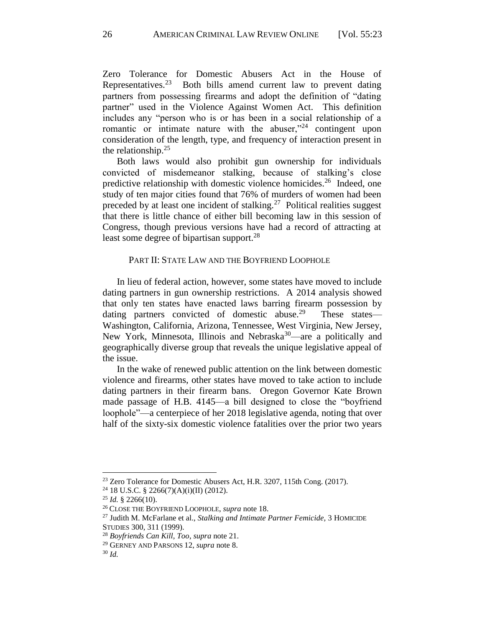Zero Tolerance for Domestic Abusers Act in the House of Representatives.<sup>23</sup> Both bills amend current law to prevent dating partners from possessing firearms and adopt the definition of "dating partner" used in the Violence Against Women Act. This definition includes any "person who is or has been in a social relationship of a romantic or intimate nature with the abuser,"<sup>24</sup> contingent upon consideration of the length, type, and frequency of interaction present in the relationship. $25$ 

Both laws would also prohibit gun ownership for individuals convicted of misdemeanor stalking, because of stalking's close predictive relationship with domestic violence homicides.<sup>26</sup> Indeed, one study of ten major cities found that 76% of murders of women had been preceded by at least one incident of stalking.<sup>27</sup> Political realities suggest that there is little chance of either bill becoming law in this session of Congress, though previous versions have had a record of attracting at least some degree of bipartisan support.<sup>28</sup>

## PART II: STATE LAW AND THE BOYFRIEND LOOPHOLE

In lieu of federal action, however, some states have moved to include dating partners in gun ownership restrictions. A 2014 analysis showed that only ten states have enacted laws barring firearm possession by dating partners convicted of domestic abuse.<sup>29</sup> These states— Washington, California, Arizona, Tennessee, West Virginia, New Jersey, New York, Minnesota, Illinois and Nebraska<sup>30</sup>—are a politically and geographically diverse group that reveals the unique legislative appeal of the issue.

In the wake of renewed public attention on the link between domestic violence and firearms, other states have moved to take action to include dating partners in their firearm bans. Oregon Governor Kate Brown made passage of H.B. 4145—a bill designed to close the "boyfriend loophole"—a centerpiece of her 2018 legislative agenda, noting that over half of the sixty-six domestic violence fatalities over the prior two years

<sup>&</sup>lt;sup>23</sup> Zero Tolerance for Domestic Abusers Act, H.R. 3207, 115th Cong. (2017).

<sup>24</sup> 18 U.S.C. § 2266(7)(A)(i)(II) (2012).

<sup>25</sup> *Id.* § 2266(10).

<sup>26</sup> CLOSE THE BOYFRIEND LOOPHOLE, *supra* note 18.

<sup>27</sup> Judith M. McFarlane et al., *Stalking and Intimate Partner Femicide,* 3 HOMICIDE STUDIES 300, 311 (1999).

<sup>28</sup> *Boyfriends Can Kill, Too*, *supra* note 21.

<sup>29</sup> GERNEY AND PARSONS 12, *supra* note 8.

<sup>30</sup> *Id.*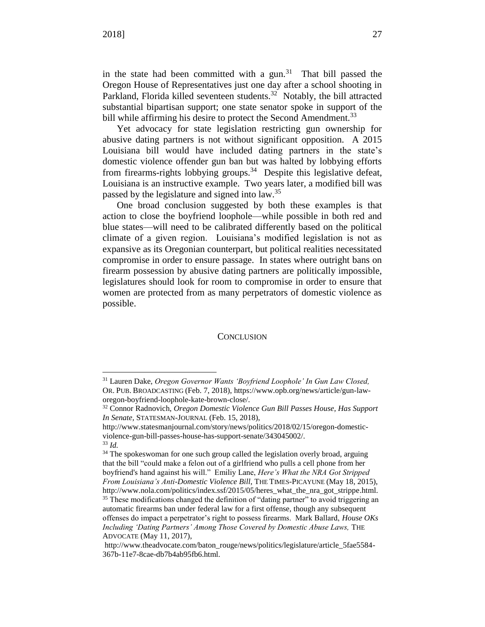in the state had been committed with a gun.<sup>31</sup> That bill passed the Oregon House of Representatives just one day after a school shooting in Parkland, Florida killed seventeen students.<sup>32</sup> Notably, the bill attracted substantial bipartisan support; one state senator spoke in support of the bill while affirming his desire to protect the Second Amendment.<sup>33</sup>

Yet advocacy for state legislation restricting gun ownership for abusive dating partners is not without significant opposition. A 2015 Louisiana bill would have included dating partners in the state's domestic violence offender gun ban but was halted by lobbying efforts from firearms-rights lobbying groups. $34$  Despite this legislative defeat, Louisiana is an instructive example. Two years later, a modified bill was passed by the legislature and signed into law.<sup>35</sup>

One broad conclusion suggested by both these examples is that action to close the boyfriend loophole—while possible in both red and blue states—will need to be calibrated differently based on the political climate of a given region. Louisiana's modified legislation is not as expansive as its Oregonian counterpart, but political realities necessitated compromise in order to ensure passage. In states where outright bans on firearm possession by abusive dating partners are politically impossible, legislatures should look for room to compromise in order to ensure that women are protected from as many perpetrators of domestic violence as possible.

#### **CONCLUSION**

<sup>31</sup> Lauren Dake, *Oregon Governor Wants 'Boyfriend Loophole' In Gun Law Closed,* OR. PUB. BROADCASTING (Feb. 7, 2018), https://www.opb.org/news/article/gun-laworegon-boyfriend-loophole-kate-brown-close/.

<sup>32</sup> Connor Radnovich, *Oregon Domestic Violence Gun Bill Passes House, Has Support In Senate,* STATESMAN-JOURNAL (Feb. 15, 2018),

http://www.statesmanjournal.com/story/news/politics/2018/02/15/oregon-domesticviolence-gun-bill-passes-house-has-support-senate/343045002/.

<sup>33</sup> *Id.*

<sup>&</sup>lt;sup>34</sup> The spokeswoman for one such group called the legislation overly broad, arguing that the bill "could make a felon out of a girlfriend who pulls a cell phone from her boyfriend's hand against his will." Emiliy Lane, *Here's What the NRA Got Stripped From Louisiana's Anti-Domestic Violence Bill*, THE TIMES-PICAYUNE (May 18, 2015), http://www.nola.com/politics/index.ssf/2015/05/heres\_what\_the\_nra\_got\_strippe.html. <sup>35</sup> These modifications changed the definition of "dating partner" to avoid triggering an automatic firearms ban under federal law for a first offense, though any subsequent offenses do impact a perpetrator's right to possess firearms. Mark Ballard, *House OKs Including 'Dating Partners' Among Those Covered by Domestic Abuse Laws,* THE ADVOCATE (May 11, 2017),

http://www.theadvocate.com/baton\_rouge/news/politics/legislature/article\_5fae5584- 367b-11e7-8cae-db7b4ab95fb6.html.